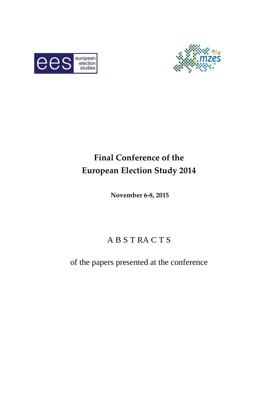



# **Final Conference of the European Election Study 2014**

**November 6-8, 2015** 

# A B S T RA C T S

of the papers presented at the conference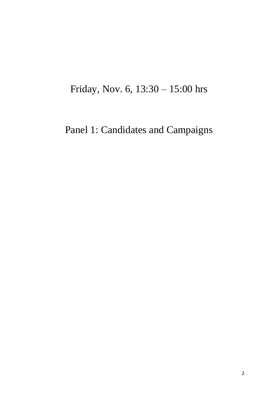# Friday, Nov. 6, 13:30 – 15:00 hrs

# Panel 1: Candidates and Campaigns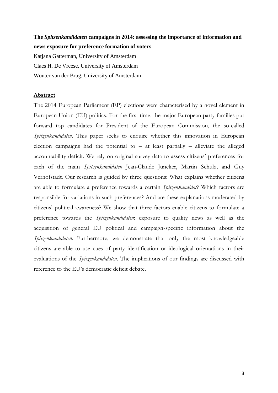## **The** *Spitzenkandidaten* **campaigns in 2014: assessing the importance of information and news exposure for preference formation of voters**

Katjana Gatterman, University of Amsterdam Claes H. De Vreese, University of Amsterdam Wouter van der Brug, University of Amsterdam

### **Abstract**

The 2014 European Parliament (EP) elections were characterised by a novel element in European Union (EU) politics. For the first time, the major European party families put forward top candidates for President of the European Commission, the so-called *Spitzenkandidaten*. This paper seeks to enquire whether this innovation in European election campaigns had the potential to  $-$  at least partially  $-$  alleviate the alleged accountability deficit. We rely on original survey data to assess citizens' preferences for each of the main *Spitzenkandidaten* Jean-Claude Juncker, Martin Schulz, and Guy Verhofstadt. Our research is guided by three questions: What explains whether citizens are able to formulate a preference towards a certain *Spitzenkandidat*? Which factors are responsible for variations in such preferences? And are these explanations moderated by citizens' political awareness? We show that three factors enable citizens to formulate a preference towards the *Spitzenkandidaten*: exposure to quality news as well as the acquisition of general EU political and campaign-specific information about the *Spitzenkandidaten*. Furthermore, we demonstrate that only the most knowledgeable citizens are able to use cues of party identification or ideological orientations in their evaluations of the *Spitzenkandidaten*. The implications of our findings are discussed with reference to the EU's democratic deficit debate.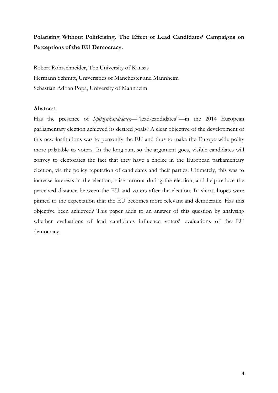# **Polarising Without Politicising. The Effect of Lead Candidates' Campaigns on Perceptions of the EU Democracy.**

Robert Rohrschneider, The University of Kansas Hermann Schmitt, Universities of Manchester and Mannheim Sebastian Adrian Popa, University of Mannheim

### **Abstract**

Has the presence of *Spitzenkandidaten*—"lead-candidates"—in the 2014 European parliamentary election achieved its desired goals? A clear objective of the development of this new institutions was to personify the EU and thus to make the Europe-wide polity more palatable to voters. In the long run, so the argument goes, visible candidates will convey to electorates the fact that they have a choice in the European parliamentary election, via the policy reputation of candidates and their parties. Ultimately, this was to increase interests in the election, raise turnout during the election, and help reduce the perceived distance between the EU and voters after the election. In short, hopes were pinned to the expectation that the EU becomes more relevant and democratic. Has this objective been achieved? This paper adds to an answer of this question by analysing whether evaluations of lead candidates influence voters' evaluations of the EU democracy.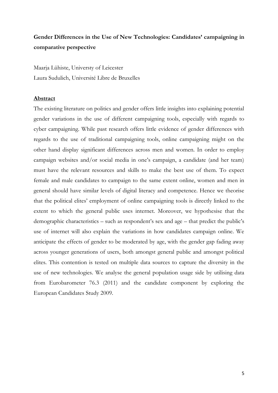# **Gender Differences in the Use of New Technologies: Candidates' campaigning in comparative perspective**

Maarja Lühiste, Universty of Leicester Laura Sudulich, Université Libre de Bruxelles

### **Abstract**

The existing literature on politics and gender offers little insights into explaining potential gender variations in the use of different campaigning tools, especially with regards to cyber campaigning. While past research offers little evidence of gender differences with regards to the use of traditional campaigning tools, online campaigning might on the other hand display significant differences across men and women. In order to employ campaign websites and/or social media in one's campaign, a candidate (and her team) must have the relevant resources and skills to make the best use of them. To expect female and male candidates to campaign to the same extent online, women and men in general should have similar levels of digital literacy and competence. Hence we theorise that the political elites' employment of online campaigning tools is directly linked to the extent to which the general public uses internet. Moreover, we hypothesise that the demographic characteristics – such as respondent's sex and age – that predict the public's use of internet will also explain the variations in how candidates campaign online. We anticipate the effects of gender to be moderated by age, with the gender gap fading away across younger generations of users, both amongst general public and amongst political elites. This contention is tested on multiple data sources to capture the diversity in the use of new technologies. We analyse the general population usage side by utilising data from Eurobarometer 76.3 (2011) and the candidate component by exploring the European Candidates Study 2009.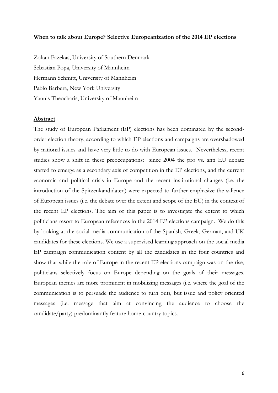### **When to talk about Europe? Selective Europeanization of the 2014 EP elections**

Zoltan Fazekas, University of Southern Denmark Sebastian Popa, University of Mannheim Hermann Schmitt, University of Mannheim Pablo Barbera, New York University Yannis Theocharis, University of Mannheim

#### **Abstract**

The study of European Parliament (EP) elections has been dominated by the secondorder election theory, according to which EP elections and campaigns are overshadowed by national issues and have very little to do with European issues. Nevertheless, recent studies show a shift in these preoccupations: since 2004 the pro vs. anti EU debate started to emerge as a secondary axis of competition in the EP elections, and the current economic and political crisis in Europe and the recent institutional changes (i.e. the introduction of the Spitzenkandidaten) were expected to further emphasize the salience of European issues (i.e. the debate over the extent and scope of the EU) in the context of the recent EP elections. The aim of this paper is to investigate the extent to which politicians resort to European references in the 2014 EP elections campaign. We do this by looking at the social media communication of the Spanish, Greek, German, and UK candidates for these elections. We use a supervised learning approach on the social media EP campaign communication content by all the candidates in the four countries and show that while the role of Europe in the recent EP elections campaign was on the rise, politicians selectively focus on Europe depending on the goals of their messages. European themes are more prominent in mobilizing messages (i.e. where the goal of the communication is to persuade the audience to turn out), but issue and policy oriented messages (i.e. message that aim at convincing the audience to choose the candidate/party) predominantly feature home-country topics.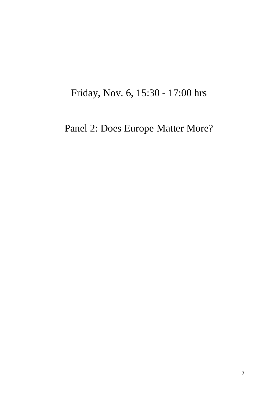# Friday, Nov. 6, 15:30 - 17:00 hrs

# Panel 2: Does Europe Matter More?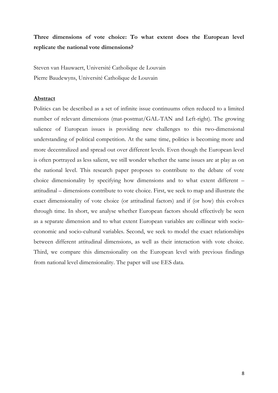## **Three dimensions of vote choice: To what extent does the European level replicate the national vote dimensions?**

Steven van Hauwaert, Université Catholique de Louvain Pierre Baudewyns, Université Catholique de Louvain

#### **Abstract**

Politics can be described as a set of infinite issue continuums often reduced to a limited number of relevant dimensions (mat-postmat/GAL-TAN and Left-right). The growing salience of European issues is providing new challenges to this two-dimensional understanding of political competition. At the same time, politics is becoming more and more decentralized and spread out over different levels. Even though the European level is often portrayed as less salient, we still wonder whether the same issues are at play as on the national level. This research paper proposes to contribute to the debate of vote choice dimensionality by specifying how dimensions and to what extent different – attitudinal – dimensions contribute to vote choice. First, we seek to map and illustrate the exact dimensionality of vote choice (or attitudinal factors) and if (or how) this evolves through time. In short, we analyse whether European factors should effectively be seen as a separate dimension and to what extent European variables are collinear with socioeconomic and socio-cultural variables. Second, we seek to model the exact relationships between different attitudinal dimensions, as well as their interaction with vote choice. Third, we compare this dimensionality on the European level with previous findings from national level dimensionality. The paper will use EES data.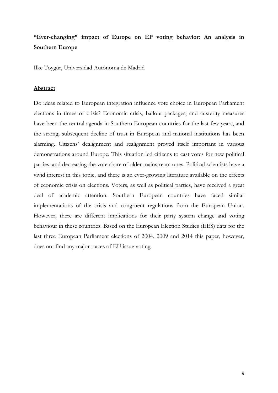# **"Ever-changing" impact of Europe on EP voting behavior: An analysis in Southern Europe**

Ilke Toygür, Universidad Autónoma de Madrid

### **Abstract**

Do ideas related to European integration influence vote choice in European Parliament elections in times of crisis? Economic crisis, bailout packages, and austerity measures have been the central agenda in Southern European countries for the last few years, and the strong, subsequent decline of trust in European and national institutions has been alarming. Citizens' dealignment and realignment proved itself important in various demonstrations around Europe. This situation led citizens to cast votes for new political parties, and decreasing the vote share of older mainstream ones. Political scientists have a vivid interest in this topic, and there is an ever-growing literature available on the effects of economic crisis on elections. Voters, as well as political parties, have received a great deal of academic attention. Southern European countries have faced similar implementations of the crisis and congruent regulations from the European Union. However, there are different implications for their party system change and voting behaviour in these countries. Based on the European Election Studies (EES) data for the last three European Parliament elections of 2004, 2009 and 2014 this paper, however, does not find any major traces of EU issue voting.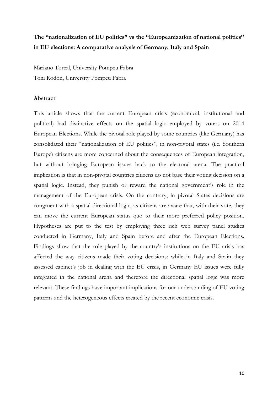# **The "nationalization of EU politics" vs the "Europeanization of national politics" in EU elections: A comparative analysis of Germany, Italy and Spain**

Mariano Torcal, University Pompeu Fabra Toni Rodón, University Pompeu Fabra

### **Abstract**

This article shows that the current European crisis (economical, institutional and political) had distinctive effects on the spatial logic employed by voters on 2014 European Elections. While the pivotal role played by some countries (like Germany) has consolidated their "nationalization of EU politics", in non-pivotal states (i.e. Southern Europe) citizens are more concerned about the consequences of European integration, but without bringing European issues back to the electoral arena. The practical implication is that in non-pivotal countries citizens do not base their voting decision on a spatial logic. Instead, they punish or reward the national government's role in the management of the European crisis. On the contrary, in pivotal States decisions are congruent with a spatial directional logic, as citizens are aware that, with their vote, they can move the current European status quo to their more preferred policy position. Hypotheses are put to the test by employing three rich web survey panel studies conducted in Germany, Italy and Spain before and after the European Elections. Findings show that the role played by the country's institutions on the EU crisis has affected the way citizens made their voting decisions: while in Italy and Spain they assessed cabinet's job in dealing with the EU crisis, in Germany EU issues were fully integrated in the national arena and therefore the directional spatial logic was more relevant. These findings have important implications for our understanding of EU voting patterns and the heterogeneous effects created by the recent economic crisis.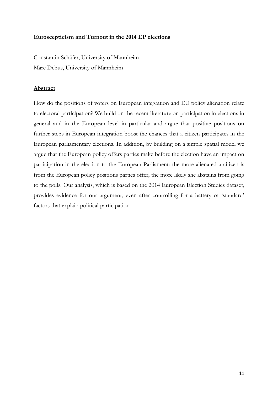## **Euroscepticism and Turnout in the 2014 EP elections**

Constantin Schäfer, University of Mannheim Marc Debus, University of Mannheim

## **Abstract**

How do the positions of voters on European integration and EU policy alienation relate to electoral participation? We build on the recent literature on participation in elections in general and in the European level in particular and argue that positive positions on further steps in European integration boost the chances that a citizen participates in the European parliamentary elections. In addition, by building on a simple spatial model we argue that the European policy offers parties make before the election have an impact on participation in the election to the European Parliament: the more alienated a citizen is from the European policy positions parties offer, the more likely she abstains from going to the polls. Our analysis, which is based on the 2014 European Election Studies dataset, provides evidence for our argument, even after controlling for a battery of 'standard' factors that explain political participation.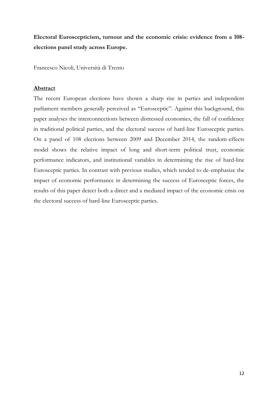**Electoral Euroscepticism, turnout and the economic crisis: evidence from a 108 elections panel study across Europe.** 

Francesco Nicoli, Università di Trento

### **Abstract**

The recent European elections have shown a sharp rise in parties and independent parliament members generally perceived as "Eurosceptic". Against this background, this paper analyses the interconnections between distressed economies, the fall of confidence in traditional political parties, and the electoral success of hard-line Eurosceptic parties. On a panel of 108 elections between 2009 and December 2014, the random-effects model shows the relative impact of long and short-term political trust, economic performance indicators, and institutional variables in determining the rise of hard-line Eurosceptic parties. In contrast with previous studies, which tended to de-emphasize the impact of economic performance in determining the success of Eurosceptic forces, the results of this paper detect both a direct and a mediated impact of the economic crisis on the electoral success of hard-line Eurosceptic parties.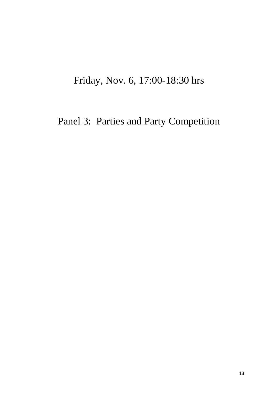# Friday, Nov. 6, 17:00-18:30 hrs

Panel 3: Parties and Party Competition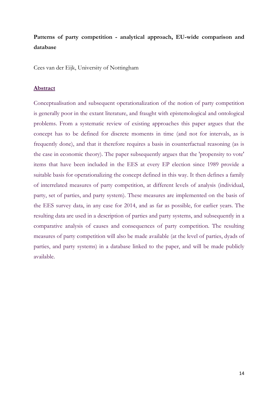## **Patterns of party competition - analytical approach, EU-wide comparison and database**

Cees van der Eijk, University of Nottingham

#### **Abstract**

Conceptualisation and subsequent operationalization of the notion of party competition is generally poor in the extant literature, and fraught with epistemological and ontological problems. From a systematic review of existing approaches this paper argues that the concept has to be defined for discrete moments in time (and not for intervals, as is frequently done), and that it therefore requires a basis in counterfactual reasoning (as is the case in economic theory). The paper subsequently argues that the 'propensity to vote' items that have been included in the EES at every EP election since 1989 provide a suitable basis for operationalizing the concept defined in this way. It then defines a family of interrelated measures of party competition, at different levels of analysis (individual, party, set of parties, and party system). These measures are implemented on the basis of the EES survey data, in any case for 2014, and as far as possible, for earlier years. The resulting data are used in a description of parties and party systems, and subsequently in a comparative analysis of causes and consequences of party competition. The resulting measures of party competition will also be made available (at the level of parties, dyads of parties, and party systems) in a database linked to the paper, and will be made publicly available.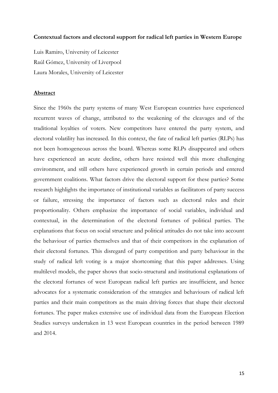### **Contextual factors and electoral support for radical left parties in Western Europe**

Luis Ramiro, University of Leicester Raúl Gómez, University of Liverpool Laura Morales, University of Leicester

#### **Abstract**

Since the 1960s the party systems of many West European countries have experienced recurrent waves of change, attributed to the weakening of the cleavages and of the traditional loyalties of voters. New competitors have entered the party system, and electoral volatility has increased. In this context, the fate of radical left parties (RLPs) has not been homogeneous across the board. Whereas some RLPs disappeared and others have experienced an acute decline, others have resisted well this more challenging environment, and still others have experienced growth in certain periods and entered government coalitions. What factors drive the electoral support for these parties? Some research highlights the importance of institutional variables as facilitators of party success or failure, stressing the importance of factors such as electoral rules and their proportionality. Others emphasize the importance of social variables, individual and contextual, in the determination of the electoral fortunes of political parties. The explanations that focus on social structure and political attitudes do not take into account the behaviour of parties themselves and that of their competitors in the explanation of their electoral fortunes. This disregard of party competition and party behaviour in the study of radical left voting is a major shortcoming that this paper addresses. Using multilevel models, the paper shows that socio-structural and institutional explanations of the electoral fortunes of west European radical left parties are insufficient, and hence advocates for a systematic consideration of the strategies and behaviours of radical left parties and their main competitors as the main driving forces that shape their electoral fortunes. The paper makes extensive use of individual data from the European Election Studies surveys undertaken in 13 west European countries in the period between 1989 and 2014.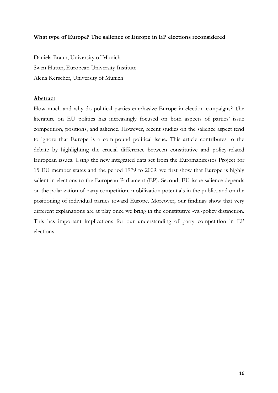## **What type of Europe? The salience of Europe in EP elections reconsidered**

Daniela Braun, University of Munich Swen Hutter, European University Institute Alena Kerscher, University of Munich

### **Abstract**

How much and why do political parties emphasize Europe in election campaigns? The literature on EU politics has increasingly focused on both aspects of parties' issue competition, positions, and salience. However, recent studies on the salience aspect tend to ignore that Europe is a com-pound political issue. This article contributes to the debate by highlighting the crucial difference between constitutive and policy-related European issues. Using the new integrated data set from the Euromanifestos Project for 15 EU member states and the period 1979 to 2009, we first show that Europe is highly salient in elections to the European Parliament (EP). Second, EU issue salience depends on the polarization of party competition, mobilization potentials in the public, and on the positioning of individual parties toward Europe. Moreover, our findings show that very different explanations are at play once we bring in the constitutive -vs.-policy distinction. This has important implications for our understanding of party competition in EP elections.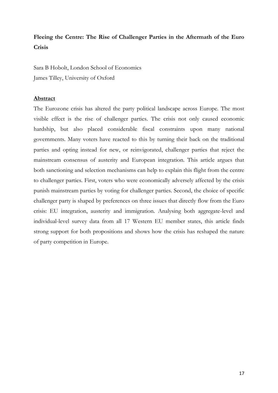## **Fleeing the Centre: The Rise of Challenger Parties in the Aftermath of the Euro Crisis**

Sara B Hobolt, London School of Economics James Tilley, University of Oxford

### **Abstract**

The Eurozone crisis has altered the party political landscape across Europe. The most visible effect is the rise of challenger parties. The crisis not only caused economic hardship, but also placed considerable fiscal constraints upon many national governments. Many voters have reacted to this by turning their back on the traditional parties and opting instead for new, or reinvigorated, challenger parties that reject the mainstream consensus of austerity and European integration. This article argues that both sanctioning and selection mechanisms can help to explain this flight from the centre to challenger parties. First, voters who were economically adversely affected by the crisis punish mainstream parties by voting for challenger parties. Second, the choice of specific challenger party is shaped by preferences on three issues that directly flow from the Euro crisis: EU integration, austerity and immigration. Analysing both aggregate-level and individual-level survey data from all 17 Western EU member states, this article finds strong support for both propositions and shows how the crisis has reshaped the nature of party competition in Europe.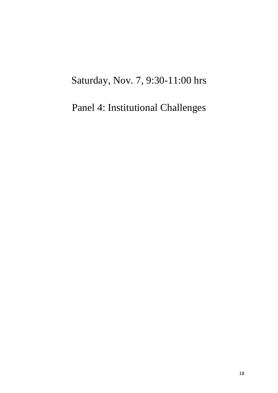# Saturday, Nov. 7, 9:30-11:00 hrs

# Panel 4: Institutional Challenges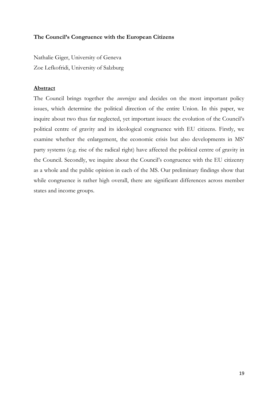## **The Council's Congruence with the European Citizens**

Nathalie Giger, University of Geneva Zoe Lefkofridi, University of Salzburg

### **Abstract**

The Council brings together the *sovereigns* and decides on the most important policy issues, which determine the political direction of the entire Union. In this paper, we inquire about two thus far neglected, yet important issues: the evolution of the Council's political centre of gravity and its ideological congruence with EU citizens. Firstly, we examine whether the enlargement, the economic crisis but also developments in MS' party systems (e.g. rise of the radical right) have affected the political centre of gravity in the Council. Secondly, we inquire about the Council's congruence with the EU citizenry as a whole and the public opinion in each of the MS. Our preliminary findings show that while congruence is rather high overall, there are significant differences across member states and income groups.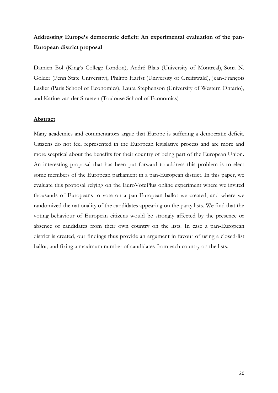## **Addressing Europe's democratic deficit: An experimental evaluation of the pan-European district proposal**

Damien Bol (King's College London), André Blais (University of Montreal), Sona N. Golder (Penn State University), Philipp Harfst (University of Greifswald), Jean-François Laslier (Paris School of Economics), Laura Stephenson (University of Western Ontario), and Karine van der Straeten (Toulouse School of Economics)

### **Abstract**

Many academics and commentators argue that Europe is suffering a democratic deficit. Citizens do not feel represented in the European legislative process and are more and more sceptical about the benefits for their country of being part of the European Union. An interesting proposal that has been put forward to address this problem is to elect some members of the European parliament in a pan-European district. In this paper, we evaluate this proposal relying on the EuroVotePlus online experiment where we invited thousands of Europeans to vote on a pan-European ballot we created, and where we randomized the nationality of the candidates appearing on the party lists. We find that the voting behaviour of European citizens would be strongly affected by the presence or absence of candidates from their own country on the lists. In case a pan-European district is created, our findings thus provide an argument in favour of using a closed-list ballot, and fixing a maximum number of candidates from each country on the lists.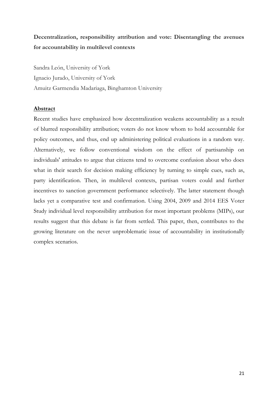# **Decentralization, responsibility attribution and vote: Disentangling the avenues for accountability in multilevel contexts**

Sandra León, University of York Ignacio Jurado, University of York Amuitz Garmendia Madariaga, Binghamton University

### **Abstract**

Recent studies have emphasized how decentralization weakens accountability as a result of blurred responsibility attribution; voters do not know whom to hold accountable for policy outcomes, and thus, end up administering political evaluations in a random way. Alternatively, we follow conventional wisdom on the effect of partisanship on individuals' attitudes to argue that citizens tend to overcome confusion about who does what in their search for decision making efficiency by turning to simple cues, such as, party identification. Then, in multilevel contexts, partisan voters could and further incentives to sanction government performance selectively. The latter statement though lacks yet a comparative test and confirmation. Using 2004, 2009 and 2014 EES Voter Study individual level responsibility attribution for most important problems (MIPs), our results suggest that this debate is far from settled. This paper, then, contributes to the growing literature on the never unproblematic issue of accountability in institutionally complex scenarios.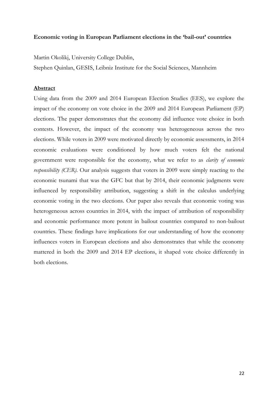### **Economic voting in European Parliament elections in the 'bail-out' countries**

Martin Okolikj, University College Dublin,

Stephen Quinlan, GESIS, Leibniz Institute for the Social Sciences, Mannheim

#### **Abstract**

Using data from the 2009 and 2014 European Election Studies (EES), we explore the impact of the economy on vote choice in the 2009 and 2014 European Parliament (EP) elections. The paper demonstrates that the economy did influence vote choice in both contests. However, the impact of the economy was heterogeneous across the two elections. While voters in 2009 were motivated directly by economic assessments, in 2014 economic evaluations were conditioned by how much voters felt the national government were responsible for the economy, what we refer to as *clarity of economic responsibility (CER)*. Our analysis suggests that voters in 2009 were simply reacting to the economic tsunami that was the GFC but that by 2014, their economic judgments were influenced by responsibility attribution, suggesting a shift in the calculus underlying economic voting in the two elections. Our paper also reveals that economic voting was heterogeneous across countries in 2014, with the impact of attribution of responsibility and economic performance more potent in bailout countries compared to non-bailout countries. These findings have implications for our understanding of how the economy influences voters in European elections and also demonstrates that while the economy mattered in both the 2009 and 2014 EP elections, it shaped vote choice differently in both elections.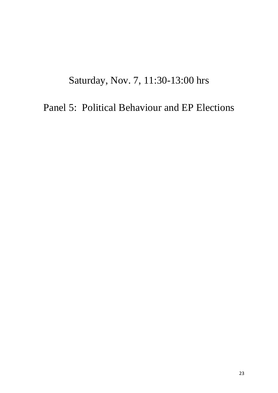# Saturday, Nov. 7, 11:30-13:00 hrs

Panel 5: Political Behaviour and EP Elections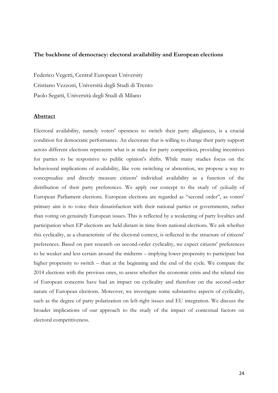#### **The backbone of democracy: electoral availability and European elections**

Federico Vegetti, Central European University Cristiano Vezzoni, Università degli Studi di Trento Paolo Segatti, Università degli Studi di Milano

#### **Abstract**

Electoral availability, namely voters' openness to switch their party allegiances, is a crucial condition for democratic performance. An electorate that is willing to change their party support across different elections represents what is at stake for party competition, providing incentives for parties to be responsive to public opinion's shifts. While many studies focus on the behavioural implications of availability, like vote switching or abstention, we propose a way to conceptualize and directly measure citizens' individual availability as a function of the distribution of their party preferences. We apply our concept to the study of *cyclicality* of European Parliament elections. European elections are regarded as "second order", as voters' primary aim is to voice their dissatisfaction with their national parties or governments, rather than voting on genuinely European issues. This is reflected by a weakening of party loyalties and participation when EP elections are held distant in time from national elections. We ask whether this cyclicality, as a characteristic of the electoral context, is reflected in the structure of citizens' preferences. Based on past research on second-order cyclicality, we expect citizens' preferences to be weaker and less certain around the midterm – implying lower propensity to participate but higher propensity to switch – than at the beginning and the end of the cycle. We compare the 2014 elections with the previous ones, to assess whether the economic crisis and the related rise of European concerns have had an impact on cyclicality and therefore on the second-order nature of European elections. Moreover, we investigate some substantive aspects of cyclicality, such as the degree of party polarization on left-right issues and EU integration. We discuss the broader implications of our approach to the study of the impact of contextual factors on electoral competitiveness.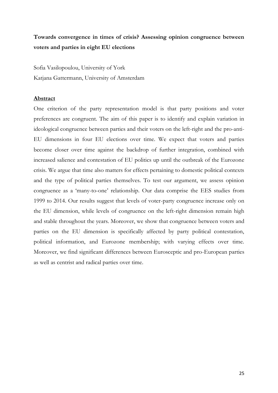# **Towards convergence in times of crisis? Assessing opinion congruence between voters and parties in eight EU elections**

Sofia Vasilopoulou, University of York Katjana Gattermann, University of Amsterdam

### **Abstract**

One criterion of the party representation model is that party positions and voter preferences are congruent. The aim of this paper is to identify and explain variation in ideological congruence between parties and their voters on the left-right and the pro-anti-EU dimensions in four EU elections over time. We expect that voters and parties become closer over time against the backdrop of further integration, combined with increased salience and contestation of EU politics up until the outbreak of the Eurozone crisis. We argue that time also matters for effects pertaining to domestic political contexts and the type of political parties themselves. To test our argument, we assess opinion congruence as a 'many-to-one' relationship. Our data comprise the EES studies from 1999 to 2014. Our results suggest that levels of voter-party congruence increase only on the EU dimension, while levels of congruence on the left-right dimension remain high and stable throughout the years. Moreover, we show that congruence between voters and parties on the EU dimension is specifically affected by party political contestation, political information, and Eurozone membership; with varying effects over time. Moreover, we find significant differences between Eurosceptic and pro-European parties as well as centrist and radical parties over time.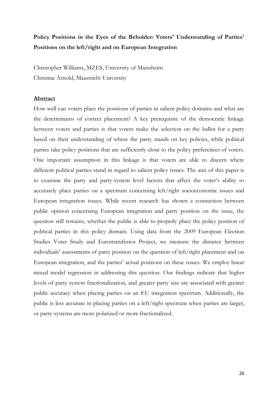# **Policy Positions in the Eyes of the Beholder: Voters' Understanding of Parties' Positions on the left/right and on European Integration**

Christopher Williams, MZES, University of Mannheim Christine Arnold, Maastricht University

### **Abstract**

How well can voters place the positions of parties in salient policy domains and what are the determinants of correct placement? A key prerequisite of the democratic linkage between voters and parties is that voters make the selection on the ballot for a party based on their understanding of where the party stands on key policies, while political parties take policy positions that are sufficiently close to the policy preferences of voters. One important assumption in this linkage is that voters are able to discern where different political parties stand in regard to salient policy issues. The aim of this paper is to examine the party and party-system level factors that affect the voter's ability to accurately place parties on a spectrum concerning left/right socioeconomic issues and European integration issues. While recent research has shown a connection between public opinion concerning European integration and party position on the issue, the question still remains, whether the public is able to properly place the policy position of political parties in this policy domain. Using data from the 2009 European Election Studies Voter Study and Euromanifestos Project, we measure the distance between individuals' assessments of party position on the question of left/right placement and on European integration, and the parties' actual positions on these issues. We employ linear mixed model regression in addressing this question. Our findings indicate that higher levels of party system fractionalization, and greater party size are associated with greater public accuracy when placing parties on an EU integration spectrum. Additionally, the public is less accurate in placing parties on a left/right spectrum when parties are larger, or party-systems are more polarized or more fractionalized.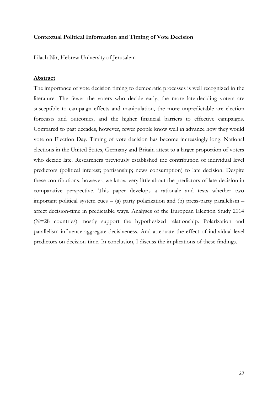### **Contextual Political Information and Timing of Vote Decision**

Lilach Nir, Hebrew University of Jerusalem

#### **Abstract**

The importance of vote decision timing to democratic processes is well recognized in the literature. The fewer the voters who decide early, the more late-deciding voters are susceptible to campaign effects and manipulation, the more unpredictable are election forecasts and outcomes, and the higher financial barriers to effective campaigns. Compared to past decades, however, fewer people know well in advance how they would vote on Election Day. Timing of vote decision has become increasingly long: National elections in the United States, Germany and Britain attest to a larger proportion of voters who decide late. Researchers previously established the contribution of individual level predictors (political interest; partisanship; news consumption) to late decision. Despite these contributions, however, we know very little about the predictors of late-decision in comparative perspective. This paper develops a rationale and tests whether two important political system cues  $-$  (a) party polarization and (b) press-party parallelism  $$ affect decision-time in predictable ways. Analyses of the European Election Study 2014 (N=28 countries) mostly support the hypothesized relationship. Polarization and parallelism influence aggregate decisiveness. And attenuate the effect of individual-level predictors on decision-time. In conclusion, I discuss the implications of these findings.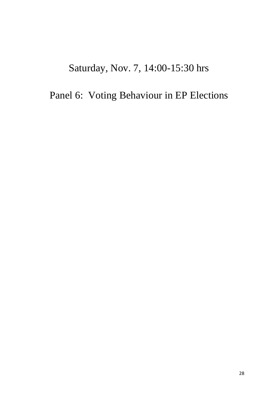# Saturday, Nov. 7, 14:00-15:30 hrs

# Panel 6: Voting Behaviour in EP Elections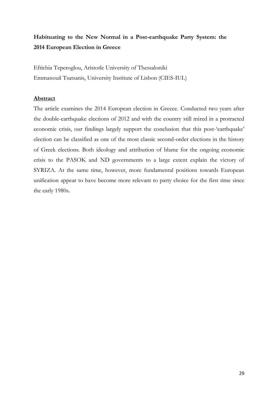# **Habituating to the New Normal in a Post-earthquake Party System: the 2014 European Election in Greece**

Eftichia Teperoglou, Aristotle University of Thessaloniki Emmanouil Tsatsanis, University Institute of Lisbon (CIES-IUL)

### **Abstract**

The article examines the 2014 European election in Greece. Conducted two years after the double-earthquake elections of 2012 and with the country still mired in a protracted economic crisis, our findings largely support the conclusion that this post-'earthquake' election can be classified as one of the most classic second-order elections in the history of Greek elections. Both ideology and attribution of blame for the ongoing economic crisis to the PASOK and ND governments to a large extent explain the victory of SYRIZA. At the same time, however, more fundamental positions towards European unification appear to have become more relevant to party choice for the first time since the early 1980s.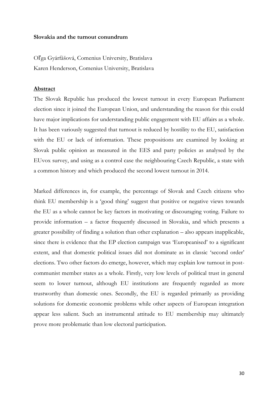### **Slovakia and the turnout conundrum**

Oľga Gyárfášová, Comenius University, Bratislava Karen Henderson, Comenius University, Bratislava

### **Abstract**

The Slovak Republic has produced the lowest turnout in every European Parliament election since it joined the European Union, and understanding the reason for this could have major implications for understanding public engagement with EU affairs as a whole. It has been variously suggested that turnout is reduced by hostility to the EU, satisfaction with the EU or lack of information. These propositions are examined by looking at Slovak public opinion as measured in the EES and party policies as analysed by the EUvox survey, and using as a control case the neighbouring Czech Republic, a state with a common history and which produced the second lowest turnout in 2014.

Marked differences in, for example, the percentage of Slovak and Czech citizens who think EU membership is a 'good thing' suggest that positive or negative views towards the EU as a whole cannot be key factors in motivating or discouraging voting. Failure to provide information – a factor frequently discussed in Slovakia, and which presents a greater possibility of finding a solution than other explanation – also appears inapplicable, since there is evidence that the EP election campaign was 'Europeanised' to a significant extent, and that domestic political issues did not dominate as in classic 'second order' elections. Two other factors do emerge, however, which may explain low turnout in postcommunist member states as a whole. Firstly, very low levels of political trust in general seem to lower turnout, although EU institutions are frequently regarded as more trustworthy than domestic ones. Secondly, the EU is regarded primarily as providing solutions for domestic economic problems while other aspects of European integration appear less salient. Such an instrumental attitude to EU membership may ultimately prove more problematic than low electoral participation.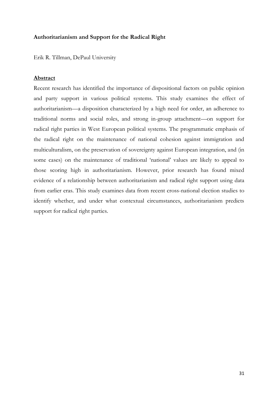## **Authoritarianism and Support for the Radical Right**

Erik R. Tillman, DePaul University

### **Abstract**

Recent research has identified the importance of dispositional factors on public opinion and party support in various political systems. This study examines the effect of authoritarianism—a disposition characterized by a high need for order, an adherence to traditional norms and social roles, and strong in-group attachment—on support for radical right parties in West European political systems. The programmatic emphasis of the radical right on the maintenance of national cohesion against immigration and multiculturalism, on the preservation of sovereignty against European integration, and (in some cases) on the maintenance of traditional 'national' values are likely to appeal to those scoring high in authoritarianism. However, prior research has found mixed evidence of a relationship between authoritarianism and radical right support using data from earlier eras. This study examines data from recent cross-national election studies to identify whether, and under what contextual circumstances, authoritarianism predicts support for radical right parties.